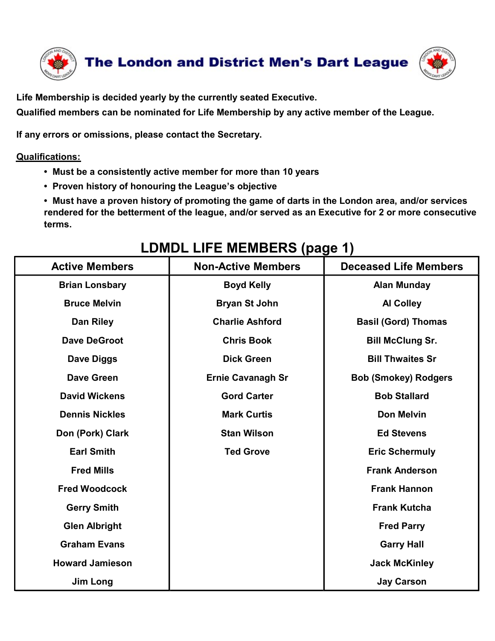

Life Membership is decided yearly by the currently seated Executive.

Qualified members can be nominated for Life Membership by any active member of the League.

If any errors or omissions, please contact the Secretary.

## Qualifications:

- Must be a consistently active member for more than 10 years
- Proven history of honouring the League's objective

• Must have a proven history of promoting the game of darts in the London area, and/or services rendered for the betterment of the league, and/or served as an Executive for 2 or more consecutive terms.

## The London and District Men's Dart League<br>
Moreship is decided yearly by the currently seated Executive.<br>
In members can be nominated for Life Membership by any active member of the League.<br>
The London scan be nominated fo example is decided yearly by the currently seated Executive.<br>
Imembers can be nominated for Life Membership by any active member of the League.<br>
Instants of originals consistently active member for more than 10 years<br>
I us ership is decided yearly by the currently seated Executive.<br>
Sor omissions, please contact the Secretary.<br>
Sor omissions, please contact the Secretary.<br>
Sor omissions, please contact the Secretary.<br>
Sor omissions, please c mbers can be nominated for Life Membership by any active member of the League.<br>
S:<br>
S:<br>
S:<br>
S:<br>
S:<br>
S:<br>
the a consistently active member for more than 10 years<br>
on history of honouring the League's objective<br>
frame a prove or comissions, please contact the Secretary.<br>
Unsimalized the aconsistently active member for more than 10 years<br>
or the aconsistently active member for more than 10 years<br>
or the batterment of the league, and/or served as must the a consistently active member for more than 10 years<br>
at have a providing the League's objective<br>
stative for the betterment of the league, and/or served as an Executive for 2 or more consecutive<br>
i.<br>
LOMDL LIFE ME Stephen Consistently active member for more than 10 years<br>
Stephen inistory of honouring the League's objective<br>
Stephen Erned for the betterment of the league, and/or served as an Executive for 2 or more consecutive<br>
Step From State and Wickens Coven This Down Extra Gard Carter Bob Stallard<br>
David Wickens Coven Carter Bob Stallard<br>
David Wickens Gord Carter Bob Stallard<br>
David Wickens Gord Carter Bob Stallard<br>
David Wickens Gord Carter Bob Contractive Members<br>
LOMDL LIFE MEMBERS (page 1)<br>
ICIVe Members<br>
ICOMDL LIFE MEMBERS (page 1)<br>
Cive Members<br>
Deceased Life Members<br>
Deceased Life Members<br>
Dan Riley<br>
Dan Riley<br>
Dan Riley<br>
Dan Riley<br>
Dan Riley<br>
Dan Riley<br>
C ms.<br>
LOMDL LIFE MEMBERS (page 1)<br>
Citive Members<br>
Brian Lonsbary<br>
Bruce Melvin<br>
Dan Riley<br>
Dan Riley<br>
Dan Riley<br>
Charlie Ashford<br>
Dan Riley<br>
Charlie Ashford<br>
Dan Riley<br>
Charlie Ashford<br>
Dan Riley<br>
Charlie Ashford<br>
Charlie **EDMDL LIFE MEMBERS (page 1)**<br>
ive Members<br>
ian Lonsbary Boyd Kelly<br>
Truce Melvin<br>
Dan Riley<br>
Dan Riley<br>
Charlie Ashford<br>
2010 Charlie Ashford<br>
2010 Charlie Ashford<br>
2010 Charlie Ashford<br>
2010 Charlie Ashford<br>
2010 Basil ( Ve Members<br>
an Lonsbary Boyd Kelly<br>
Dan Riley Boyd Kelly Alan Munday<br>
Truce Melvin Bryan St John Al Colley<br>
Dan Riley Charlie Ashford Basil (Gord) Thomas<br>
We DeGroot Chris Book Bill McClung Sr.<br>
Dave Oiggs Dick Green<br>
Trui Brian Lonsbary<br>
Brian Lonsbary<br>
Dan Riley<br>
Dan Riley<br>
Dan Riley<br>
Dan Riley<br>
Dan Riley<br>
Charlie Ashford<br>
Charlie Ashford<br>
Basil (Gord) Thomas<br>
Dave DeGroot<br>
Chris Book<br>
Charlie Ashford<br>
Basil (Gord) Thomas<br>
Basil (Gord) Tho Bruce Melvin<br>
Dan Riley<br>
Dave DeGroot<br>
Dave DeGroot<br>
Dave DeGroot<br>
Chris Book<br>
Chris Book<br>
Gris Book<br>
Bill Thwaites Sr<br>
Dave Green<br>
Ernie Cavanagh Sr<br>
Ernie Cavanagh Sr<br>
Bob Stallard<br>
ennis Nickles<br>
ennis Nickles<br>
Mark Cur Dave DeGroot<br>
Dave DeGroot<br>
Dave DeGroot<br>
Dave DeGroot<br>
Dave DeGroot<br>
Chris Book<br>
Dave Green<br>
Ernie Cavanagh Sr<br>
Bob (Smokey) Rodgers<br>
Suid Wickens<br>
Suid Wickens<br>
Suid Wickens<br>
Suid Wickens<br>
Suid Wickens<br>
Suid Wickens<br>
Sui Dave DeGroot<br>
Dave Diggs<br>
Dave Diggs<br>
Dave Green<br>
David Wickens<br>
David Wickens<br>
David Wickens<br>
David Wickens<br>
Cord Carter<br>
David Wickens<br>
Gord Carter<br>
David Wickens<br>
Gord Carter<br>
Bob Stallard<br>
Bob Stallard<br>
Don Melvin<br>
Don Dave Diggs<br>
Dave Green<br>
Dave Green<br>
Dave Green<br>
David Wickens<br>
David Wickens<br>
David Wickens<br>
David Wickens<br>
David Wickens<br>
David Wickens<br>
David Wickens<br>
David Wickens<br>
David Wickens<br>
David Wickens<br>
David Wickens<br>
David Car Not School (Smokey) Rodgers<br>
Vid Wickens<br>
Innis Nickles<br>
Innis Nickles<br>
Innis Nickles<br>
Innis Nickles<br>
Star Wilson<br>
Ted Grove<br>
Ted Grove<br>
Frank Anderson<br>
Frank Anderson<br>
Frank Anderson<br>
Frank Anderson<br>
Frank Anderson<br>
Frank

## LDMDL LIFE MEMBERS (page 1)